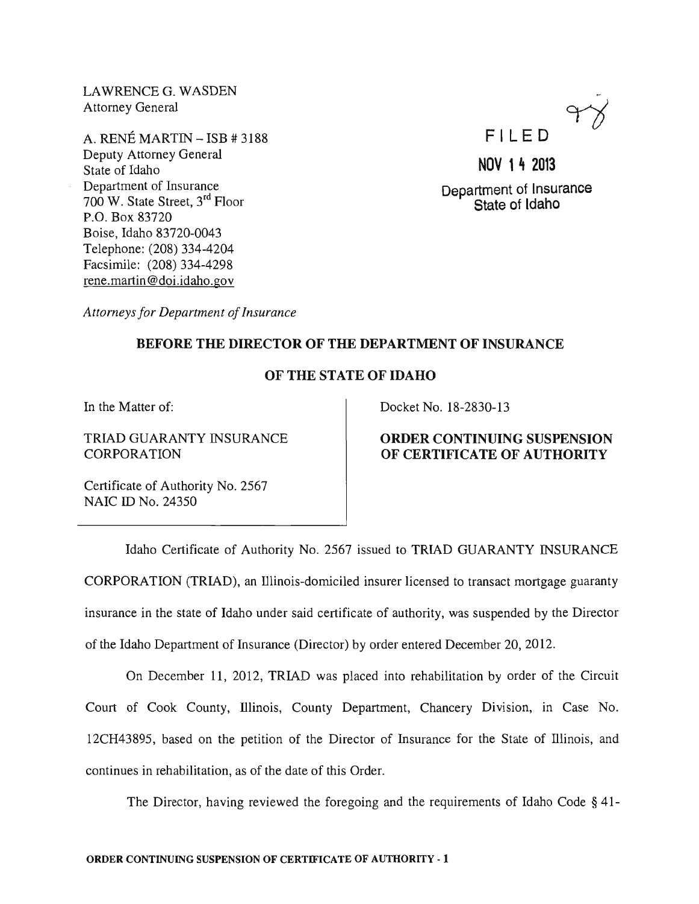LAWRENCEG. WASDEN Attorney General

A. RENE MARTIN - ISB # 3188 Deputy Attorney General State of Idaho Department of Insurance 700 W. State Street, 3rd Floor P.O. Box 83720 Boise, Idaho 83720-0043 Telephone: (208) 334-4204 Facsimile: (208) 334-4298 rene. martin @doi.idaho.gov



# NOV 14 2013 Department of Insurance State of Idaho

*Attorneys for Department of Insurance* 

#### BEFORE THE DIRECTOR OF THE DEPARTMENT OF INSURANCE

## OF THE STATE OF IDAHO

In the Matter of:

TRIAD GUARANTY INSURANCE **CORPORATION** 

Docket No. 18-2830-13

## ORDER CONTINUING SUSPENSION OF CERTIFICATE OF AUTHORITY

Certificate of Authority No. 2567 NAIC ID No. 24350

Idaho Certificate of Authority No. 2567 issued to TRIAD GUARANTY INSURANCE CORPORATION (TRIAD), an lllinois-domiciled insurer licensed to transact mortgage guaranty insurance in the state of Idaho under said certificate of authority, was suspended by the Director of the Idaho Department of Insurance (Director) by order entered December 20,2012.

On December 11, 2012, TRIAD was placed into rehabilitation by order of the Circuit Court of Cook County, lllinois, County Department, Chancery Division, in Case No. 12CH43895, based on the petition of the Director of Insurance for the State of lllinois, and continues in rehabilitation, as of the date of this Order.

The Director, having reviewed the foregoing and the requirements of Idaho Code § 41-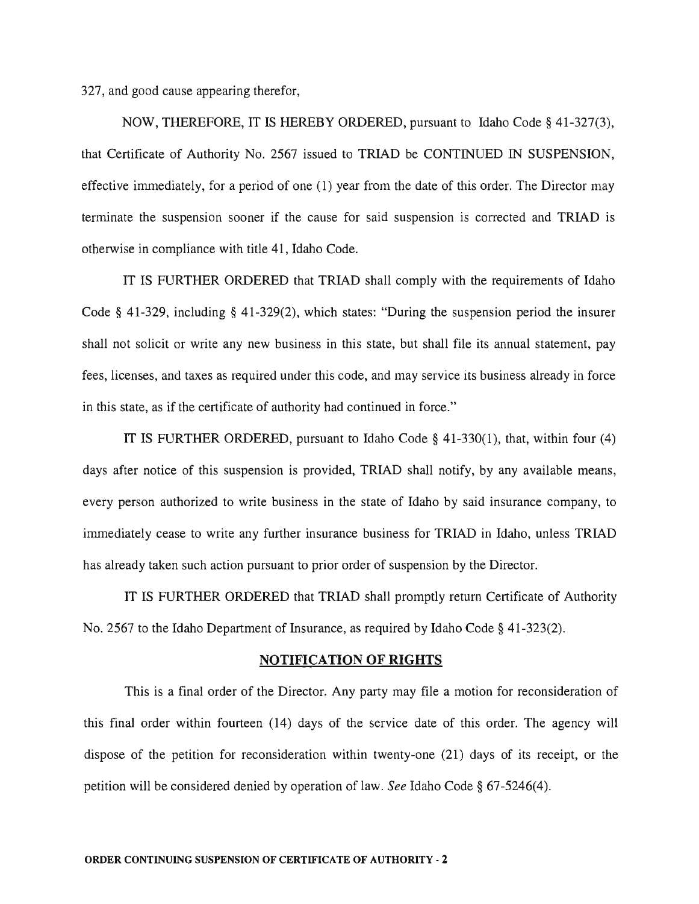327, and good cause appearing therefor,

NOW, THEREFORE, IT IS HEREBY ORDERED, pursuant to Idaho Code § 41-327(3), that Certificate of Authority No. 2567 issued to TRIAD be CONTINUED IN SUSPENSION, effective immediately, for a period of one (1) year from the date of this order. The Director may terminate the suspension sooner if the cause for said suspension is corrected and TRIAD is otherwise in compliance with title 41, Idaho Code.

IT IS FURTHER ORDERED that TRIAD shall comply with the requirements of Idaho Code § 41-329, including § 41-329(2), which states: "During the suspension period the insurer shall not solicit or write any new business in this state, but shall file its annual statement, pay fees, licenses, and taxes as required under this code, and may service its business already in force in this state, as if the certificate of authority had continued in force."

IT IS FURTHER ORDERED, pursuant to Idaho Code § 41-330(1), that, within four (4) days after notice of this suspension is provided, TRIAD shall notify, by any available means, every person authorized to write business in the state of Idaho by said insurance company, to immediately cease to write any further insurance business for TRIAD in Idaho, unless TRIAD has already taken such action pursuant to prior order of suspension by the Director.

IT IS FURTHER ORDERED that TRIAD shall promptly return Certificate of Authority No. 2567 to the Idaho Department of Insurance, as required by Idaho Code § 41-323(2).

#### **NOTIFICATION OF RIGHTS**

This is a final order of the Director. Any party may file a motion for reconsideration of this final order within fourteen (14) days of the service date of this order. The agency will dispose of the petition for reconsideration within twenty-one (21) days of its receipt, or the petition will be considered denied by operation of law. *See* Idaho Code § 67-5246(4).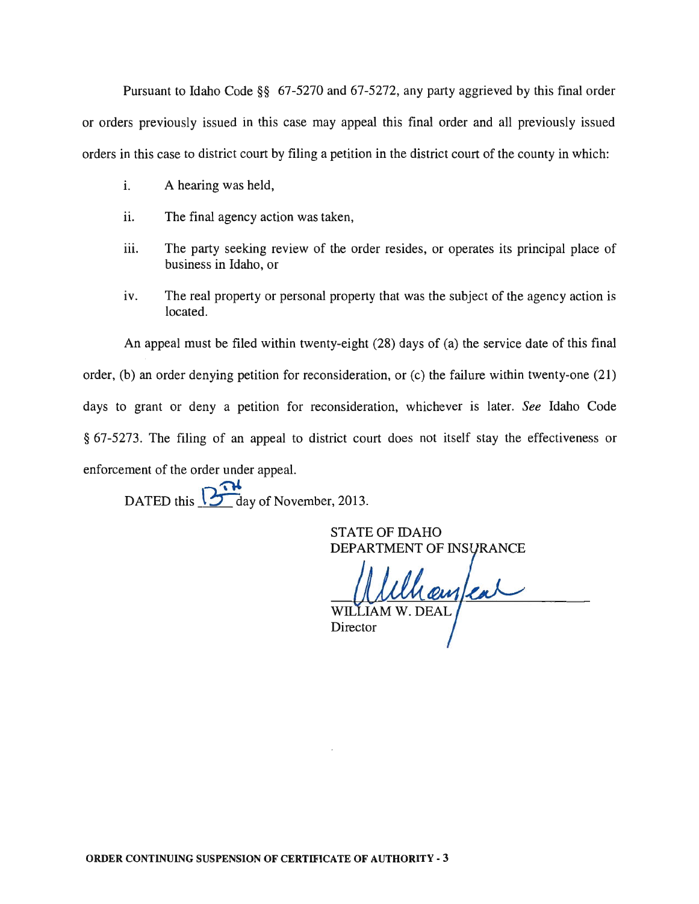Pursuant to Idaho Code §§ 67-5270 and 67-5272, any party aggrieved by this final order or orders previously issued in this case may appeal this final order and all previously issued orders in this case to district court by filing a petition in the district court of the county in which:

- i. A hearing was held,
- ii. The final agency action was taken,
- iii. The party seeking review of the order resides, or operates its principal place of business in Idaho, or
- iv. The real property or personal property that was the subject of the agency action is located.

An appeal must be filed within twenty-eight (28) days of (a) the service date of this final order, (b) an order denying petition for reconsideration, or (c) the failure within twenty-one (21) days to grant or deny a petition for reconsideration, whichever is later. *See* Idaho Code § 67-5273. The filing of an appeal to district court does not itself stay the effectiveness or enforcement of the order under appeal.

DATED this  $\overline{12 \cdot 14}$  day of November, 2013.

STATE OF IDAHO DEPARTMENT OF INSURANCE

Unaufear WIL. Director